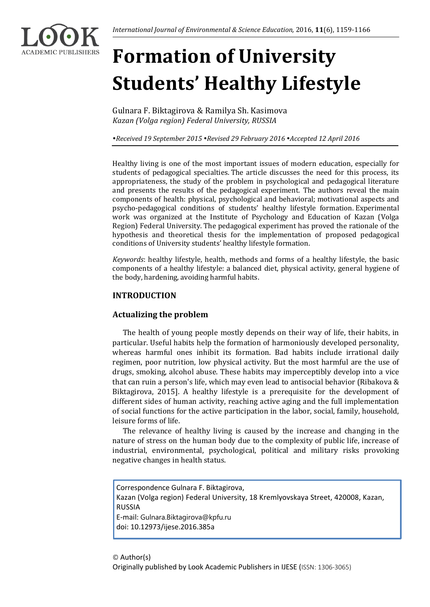# **Formation of University Students' Healthy Lifestyle**

Gulnara F. Biktagirova & Ramilya Sh. Kasimova *Kazan (Volga region) Federal University, RUSSIA*

*Received 19 September 2015 Revised 29 February 2016 Accepted 12 April 2016*

Healthy living is one of the most important issues of modern education, especially for students of pedagogical specialties. The article discusses the need for this process, its appropriateness, the study of the problem in psychological and pedagogical literature and presents the results of the pedagogical experiment. The authors reveal the main components of health: physical, psychological and behavioral; motivational aspects and psycho-pedagogical conditions of students' healthy lifestyle formation. Experimental work was organized at the Institute of Psychology and Education of Kazan (Volga Region) Federal University. The pedagogical experiment has proved the rationale of the hypothesis and theoretical thesis for the implementation of proposed pedagogical conditions of University students' healthy lifestyle formation.

*Keywords*: healthy lifestyle, health, methods and forms of a healthy lifestyle, the basic components of a healthy lifestyle: a balanced diet, physical activity, general hygiene of the body, hardening, avoiding harmful habits.

# **INTRODUCTION**

# **Actualizing the problem**

The health of young people mostly depends on their way of life, their habits, in particular. Useful habits help the formation of harmoniously developed personality, whereas harmful ones inhibit its formation. Bad habits include irrational daily regimen, poor nutrition, low physical activity. But the most harmful are the use of drugs, smoking, alcohol abuse. These habits may imperceptibly develop into a vice that can ruin a person's life, which may even lead to antisocial behavior (Ribakova & Biktagirova, 2015]. A healthy lifestyle is a prerequisite for the development of different sides of human activity, reaching active aging and the full implementation of social functions for the active participation in the labor, social, family, household, leisure forms of life.

The relevance of healthy living is caused by the increase and changing in the nature of stress on the human body due to the complexity of public life, increase of industrial, environmental, psychological, political and military risks provoking negative changes in health status.

Correspondence Gulnara F. Biktagirova, Kazan (Volga region) Federal University, 18 Kremlyovskaya Street, 420008, Kazan, RUSSIA E-mail: Gulnara.Biktagirova@kpfu.ru doi: 10.12973/ijese.2016.385a

## © Author(s)

Originally published by Look Academic Publishers in IJESE (ISSN: 1306-3065)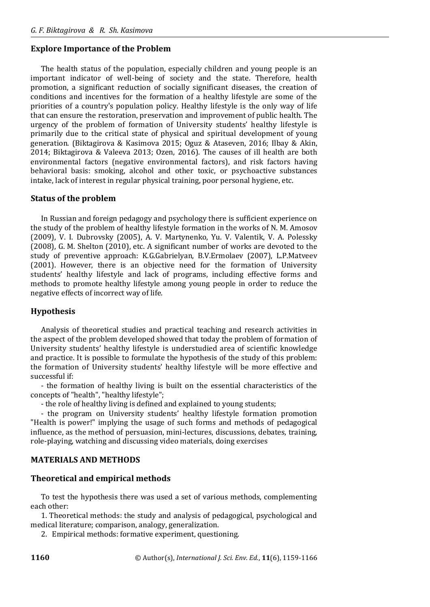# **Explore Importance of the Problem**

The health status of the population, especially children and young people is an important indicator of well-being of society and the state. Therefore, health promotion, a significant reduction of socially significant diseases, the creation of conditions and incentives for the formation of a healthy lifestyle are some of the priorities of a country's population policy. Healthy lifestyle is the only way of life that can ensure the restoration, preservation and improvement of public health. The urgency of the problem of formation of University students' healthy lifestyle is primarily due to the critical state of physical and spiritual development of young generation. (Biktagirova & Kasimova 2015; Oguz & Ataseven, 2016; Ilbay & Akin, 2014; Biktagirova & Valeeva 2013; Ozen, 2016). The causes of ill health are both environmental factors (negative environmental factors), and risk factors having behavioral basis: smoking, alcohol and other toxic, or psychoactive substances intake, lack of interest in regular physical training, poor personal hygiene, etc.

## **Status of the problem**

In Russian and foreign pedagogy and psychology there is sufficient experience on the study of the problem of healthy lifestyle formation in the works of N. M. Amosov (2009), V. I. Dubrovsky (2005), A. V. Martynenko, Yu. V. Valentik, V. A. Polessky (2008), G. M. Shelton (2010), etc. A significant number of works are devoted to the study of preventive approach: K.G.Gabrielyan, B.V.Ermolaev (2007), L.P.Matveev (2001). However, there is an objective need for the formation of University students' healthy lifestyle and lack of programs, including effective forms and methods to promote healthy lifestyle among young people in order to reduce the negative effects of incorrect way of life.

# **Hypothesis**

Analysis of theoretical studies and practical teaching and research activities in the aspect of the problem developed showed that today the problem of formation of University students' healthy lifestyle is understudied area of scientific knowledge and practice. It is possible to formulate the hypothesis of the study of this problem: the formation of University students' healthy lifestyle will be more effective and successful if:

- the formation of healthy living is built on the essential characteristics of the concepts of "health", "healthy lifestyle";

- the role of healthy living is defined and explained to young students;

- the program on University students' healthy lifestyle formation promotion "Health is power!" implying the usage of such forms and methods of pedagogical influence, as the method of persuasion, mini-lectures, discussions, debates, training, role-playing, watching and discussing video materials, doing exercises

# **MATERIALS AND METHODS**

## **Theoretical and empirical methods**

To test the hypothesis there was used a set of various methods, complementing each other:

1. Theoretical methods: the study and analysis of pedagogical, psychological and medical literature; comparison, analogy, generalization.

2. Empirical methods: formative experiment, questioning.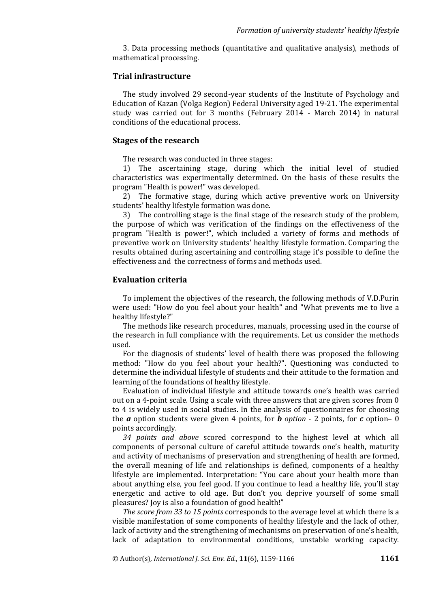3. Data processing methods (quantitative and qualitative analysis), methods of mathematical processing.

#### **Trial infrastructure**

The study involved 29 second-year students of the Institute of Psychology and Education of Kazan (Volga Region) Federal University aged 19-21. The experimental study was carried out for 3 months (February 2014 - March 2014) in natural conditions of the educational process.

#### **Stages of the research**

The research was conducted in three stages:

1) The ascertaining stage, during which the initial level of studied characteristics was experimentally determined. On the basis of these results the program "Health is power!" was developed.

2) The formative stage, during which active preventive work on University students' healthy lifestyle formation was done.

3) The controlling stage is the final stage of the research study of the problem, the purpose of which was verification of the findings on the effectiveness of the program "Health is power!", which included a variety of forms and methods of preventive work on University students' healthy lifestyle formation. Comparing the results obtained during ascertaining and controlling stage it's possible to define the effectiveness and the correctness of forms and methods used.

## **Evaluation criteria**

To implement the objectives of the research, the following methods of V.D.Purin were used: "How do you feel about your health" and "What prevents me to live a healthy lifestyle?"

The methods like research procedures, manuals, processing used in the course of the research in full compliance with the requirements. Let us consider the methods used.

For the diagnosis of students' level of health there was proposed the following method: "How do you feel about your health?". Questioning was conducted to determine the individual lifestyle of students and their attitude to the formation and learning of the foundations of healthy lifestyle.

Evaluation of individual lifestyle and attitude towards one's health was carried out on a 4-point scale. Using a scale with three answers that are given scores from 0 to 4 is widely used in social studies. In the analysis of questionnaires for choosing the  $\boldsymbol{a}$  option students were given 4 points, for  $\boldsymbol{b}$  *option* - 2 points, for  $\boldsymbol{c}$  option– 0 points accordingly.

*34 points and above* scored correspond to the highest level at which all components of personal culture of careful attitude towards one's health, maturity and activity of mechanisms of preservation and strengthening of health are formed, the overall meaning of life and relationships is defined, components of a healthy lifestyle are implemented. Interpretation: "You care about your health more than about anything else, you feel good. If you continue to lead a healthy life, you'll stay energetic and active to old age. But don't you deprive yourself of some small pleasures? Joy is also a foundation of good health!"

*The score from 33 to 15 points* corresponds to the average level at which there is a visible manifestation of some components of healthy lifestyle and the lack of other, lack of activity and the strengthening of mechanisms on preservation of one's health, lack of adaptation to environmental conditions, unstable working capacity.

© Author(s), *International J. Sci. Env. Ed.*, **11**(6), 1159-1166 **1161**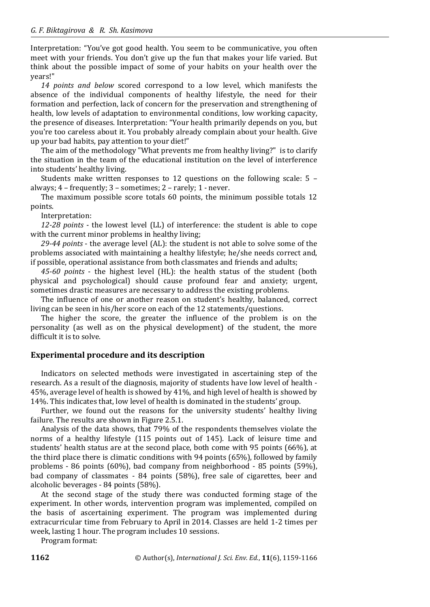Interpretation: "You've got good health. You seem to be communicative, you often meet with your friends. You don't give up the fun that makes your life varied. But think about the possible impact of some of your habits on your health over the years!"

*14 points and below* scored correspond to a low level, which manifests the absence of the individual components of healthy lifestyle, the need for their formation and perfection, lack of concern for the preservation and strengthening of health, low levels of adaptation to environmental conditions, low working capacity, the presence of diseases. Interpretation: "Your health primarily depends on you, but you're too careless about it. You probably already complain about your health. Give up your bad habits, pay attention to your diet!"

The aim of the methodology "What prevents me from healthy living?" is to clarify the situation in the team of the educational institution on the level of interference into students' healthy living.

Students make written responses to 12 questions on the following scale: 5 – always; 4 – frequently; 3 – sometimes; 2 – rarely; 1 - never.

The maximum possible score totals 60 points, the minimum possible totals 12 points.

Interpretation:

*12-28 points* - the lowest level (LL) of interference: the student is able to cope with the current minor problems in healthy living:

*29-44 points* - the average level (AL): the student is not able to solve some of the problems associated with maintaining a healthy lifestyle; he/she needs correct and, if possible, operational assistance from both classmates and friends and adults;

*45-60 points* - the highest level (HL): the health status of the student (both physical and psychological) should cause profound fear and anxiety; urgent, sometimes drastic measures are necessary to address the existing problems.

The influence of one or another reason on student's healthy, balanced, correct living can be seen in his/her score on each of the 12 statements/questions.

The higher the score, the greater the influence of the problem is on the personality (as well as on the physical development) of the student, the more difficult it is to solve.

# **Experimental procedure and its description**

Indicators on selected methods were investigated in ascertaining step of the research. As a result of the diagnosis, majority of students have low level of health - 45%, average level of health is showed by 41%, and high level of health is showed by 14%. This indicates that, low level of health is dominated in the students' group.

Further, we found out the reasons for the university students' healthy living failure. The results are shown in Figure 2.5.1.

Analysis of the data shows, that 79% of the respondents themselves violate the norms of a healthy lifestyle (115 points out of 145). Lack of leisure time and students' health status are at the second place, both come with 95 points (66%), at the third place there is climatic conditions with 94 points (65%), followed by family problems - 86 points (60%), bad company from neighborhood - 85 points (59%), bad company of classmates - 84 points (58%), free sale of cigarettes, beer and alcoholic beverages - 84 points (58%).

At the second stage of the study there was conducted forming stage of the experiment. In other words, intervention program was implemented, compiled on the basis of ascertaining experiment. The program was implemented during extracurricular time from February to April in 2014. Classes are held 1-2 times per week, lasting 1 hour. The program includes 10 sessions.

Program format: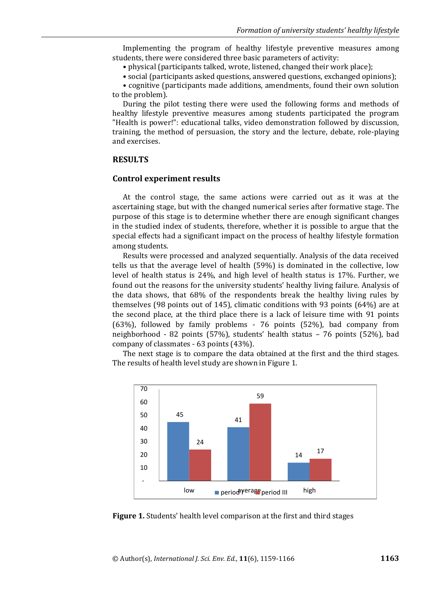Implementing the program of healthy lifestyle preventive measures among students, there were considered three basic parameters of activity:

• physical (participants talked, wrote, listened, changed their work place);

• social (participants asked questions, answered questions, exchanged opinions);

• cognitive (participants made additions, amendments, found their own solution to the problem).

During the pilot testing there were used the following forms and methods of healthy lifestyle preventive measures among students participated the program "Health is power!": educational talks, video demonstration followed by discussion, training, the method of persuasion, the story and the lecture, debate, role-playing and exercises.

#### **RESULTS**

## **Control experiment results**

At the control stage, the same actions were carried out as it was at the ascertaining stage, but with the changed numerical series after formative stage. The purpose of this stage is to determine whether there are enough significant changes in the studied index of students, therefore, whether it is possible to argue that the special effects had a significant impact on the process of healthy lifestyle formation among students.

Results were processed and analyzed sequentially. Analysis of the data received tells us that the average level of health (59%) is dominated in the collective, low level of health status is 24%, and high level of health status is 17%. Further, we found out the reasons for the university students' healthy living failure. Analysis of the data shows, that 68% of the respondents break the healthy living rules by themselves (98 points out of 145), climatic conditions with 93 points (64%) are at the second place, at the third place there is a lack of leisure time with 91 points (63%), followed by family problems - 76 points (52%), bad company from neighborhood - 82 points (57%), students' health status – 76 points (52%), bad company of classmates - 63 points (43%).

The next stage is to compare the data obtained at the first and the third stages. The results of health level study are shown in Figure 1.



**Figure 1.** Students' health level comparison at the first and third stages

© Author(s), *International J. Sci. Env. Ed.*, **11**(6), 1159-1166 **1163**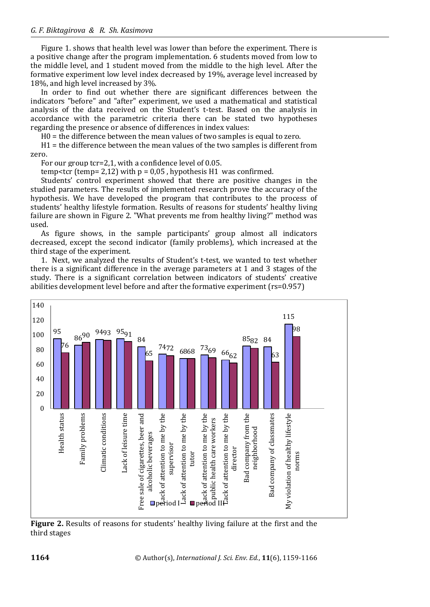Figure 1. shows that health level was lower than before the experiment. There is a positive change after the program implementation. 6 students moved from low to the middle level, and 1 student moved from the middle to the high level. After the formative experiment low level index decreased by 19%, average level increased by 18%, and high level increased by 3%.

In order to find out whether there are significant differences between the indicators "before" and "after" experiment, we used a mathematical and statistical analysis of the data received on the Student's t-test. Based on the analysis in accordance with the parametric criteria there can be stated two hypotheses regarding the presence or absence of differences in index values:

H0 = the difference between the mean values of two samples is equal to zero.

H1 = the difference between the mean values of the two samples is different from zero.

For our group tcr=2,1, with a confidence level of 0.05.

temp<tcr (temp= 2.12) with  $p = 0.05$ , hypothesis H1 was confirmed.

Students' control experiment showed that there are positive changes in the studied parameters. The results of implemented research prove the accuracy of the hypothesis. We have developed the program that contributes to the process of students' healthy lifestyle formation. Results of reasons for students' healthy living failure are shown in Figure 2. "What prevents me from healthy living?" method was used.

As figure shows, in the sample participants' group almost all indicators decreased, except the second indicator (family problems), which increased at the third stage of the experiment.

1. Next, we analyzed the results of Student's t-test, we wanted to test whether there is a significant difference in the average parameters at 1 and 3 stages of the study. There is a significant correlation between indicators of students' creative abilities development level before and after the formative experiment (rs=0.957)



**Figure 2.** Results of reasons for students' healthy living failure at the first and the third stages

**1164** © Author(s), *International J. Sci. Env. Ed.*, **11**(6), 1159-1166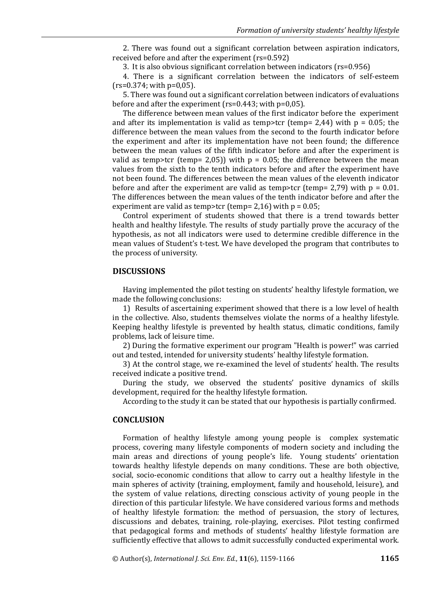2. There was found out a significant correlation between aspiration indicators, received before and after the experiment (rs=0.592)

3. It is also obvious significant correlation between indicators (rs=0.956)

4. There is a significant correlation between the indicators of self-esteem  $(rs=0.374;$  with  $p=0.05$ ).

5. There was found out a significant correlation between indicators of evaluations before and after the experiment (rs=0.443; with p=0,05).

The difference between mean values of the first indicator before the experiment and after its implementation is valid as temp>tcr (temp= 2,44) with  $p = 0.05$ ; the difference between the mean values from the second to the fourth indicator before the experiment and after its implementation have not been found; the difference between the mean values of the fifth indicator before and after the experiment is valid as temp>tcr (temp= 2,05)) with  $p = 0.05$ ; the difference between the mean values from the sixth to the tenth indicators before and after the experiment have not been found. The differences between the mean values of the eleventh indicator before and after the experiment are valid as temp $\geq$  to temp= 2.79) with p = 0.01. The differences between the mean values of the tenth indicator before and after the experiment are valid as temp>tcr (temp=  $2,16$ ) with p =  $0.05$ ;

Control experiment of students showed that there is a trend towards better health and healthy lifestyle. The results of study partially prove the accuracy of the hypothesis, as not all indicators were used to determine credible difference in the mean values of Student's t-test. We have developed the program that contributes to the process of university.

## **DISCUSSIONS**

Having implemented the pilot testing on students' healthy lifestyle formation, we made the following conclusions:

1) Results of ascertaining experiment showed that there is a low level of health in the collective. Also, students themselves violate the norms of a healthy lifestyle. Keeping healthy lifestyle is prevented by health status, climatic conditions, family problems, lack of leisure time.

2) During the formative experiment our program "Health is power!" was carried out and tested, intended for university students' healthy lifestyle formation.

3) At the control stage, we re-examined the level of students' health. The results received indicate a positive trend.

During the study, we observed the students' positive dynamics of skills development, required for the healthy lifestyle formation.

According to the study it can be stated that our hypothesis is partially confirmed.

## **CONCLUSION**

Formation of healthy lifestyle among young people is complex systematic process, covering many lifestyle components of modern society and including the main areas and directions of young people's life. Young students' orientation towards healthy lifestyle depends on many conditions. These are both objective, social, socio-economic conditions that allow to carry out a healthy lifestyle in the main spheres of activity (training, employment, family and household, leisure), and the system of value relations, directing conscious activity of young people in the direction of this particular lifestyle. We have considered various forms and methods of healthy lifestyle formation: the method of persuasion, the story of lectures, discussions and debates, training, role-playing, exercises. Pilot testing confirmed that pedagogical forms and methods of students' healthy lifestyle formation are sufficiently effective that allows to admit successfully conducted experimental work.

© Author(s), *International J. Sci. Env. Ed.*, **11**(6), 1159-1166 **1165**